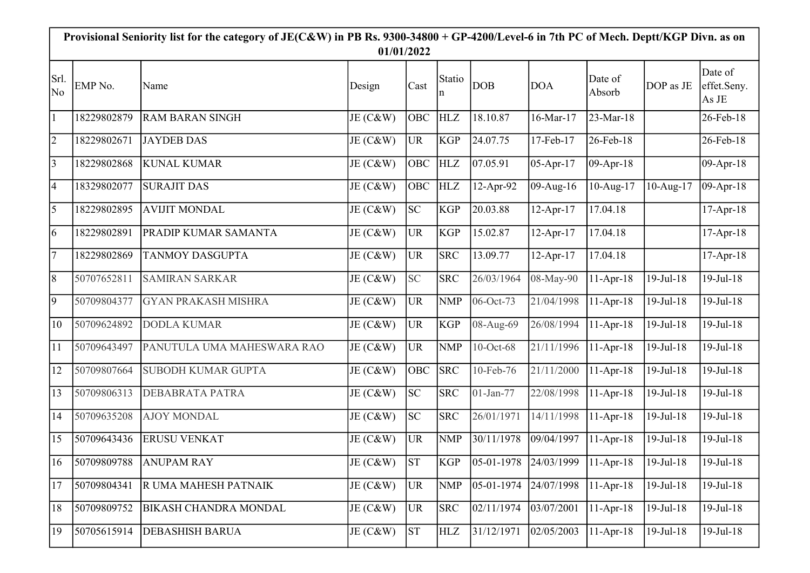| Provisional Seniority list for the category of JE(C&W) in PB Rs. 9300-34800 + GP-4200/Level-6 in 7th PC of Mech. Deptt/KGP Divn. as on |             |                              |             |                 |             |                                     |             |                   |                        |                                 |  |
|----------------------------------------------------------------------------------------------------------------------------------------|-------------|------------------------------|-------------|-----------------|-------------|-------------------------------------|-------------|-------------------|------------------------|---------------------------------|--|
| 01/01/2022                                                                                                                             |             |                              |             |                 |             |                                     |             |                   |                        |                                 |  |
| Srl.<br>No                                                                                                                             | EMP No.     | Name                         | Design      | Cast            | Statio<br>n | <b>DOB</b>                          | <b>DOA</b>  | Date of<br>Absorb | DOP as JE              | Date of<br>effet.Seny.<br>As JE |  |
| $\vert$ 1                                                                                                                              | 18229802879 | <b>RAM BARAN SINGH</b>       | JE (C&W)    | <b>OBC</b>      | <b>HLZ</b>  | 18.10.87                            | 16-Mar-17   | 23-Mar-18         |                        | 26-Feb-18                       |  |
| $\overline{2}$                                                                                                                         | 18229802671 | <b>JAYDEB DAS</b>            | JE (C&W)    | <b>UR</b>       | <b>KGP</b>  | 24.07.75                            | 17-Feb-17   | 26-Feb-18         |                        | 26-Feb-18                       |  |
| $\overline{3}$                                                                                                                         | 18229802868 | <b>KUNAL KUMAR</b>           | JE (C&W)    | <b>OBC</b>      | <b>HLZ</b>  | 07.05.91                            | $05-Apr-17$ | $09-Apr-18$       |                        | 09-Apr-18                       |  |
| $\overline{4}$                                                                                                                         | 18329802077 | <b>SURAJIT DAS</b>           | JE (C&W)    | <b>OBC</b>      | <b>HLZ</b>  | 12-Apr-92                           | 09-Aug-16   | 10-Aug-17         | $10-Aug-17$            | 09-Apr-18                       |  |
| $\overline{5}$                                                                                                                         | 18229802895 | <b>AVIJIT MONDAL</b>         | JE (C&W)    | SC              | <b>KGP</b>  | 20.03.88                            | $12-Apr-17$ | 17.04.18          |                        | $17-Apr-18$                     |  |
| $\vert 6 \vert$                                                                                                                        | 18229802891 | PRADIP KUMAR SAMANTA         | JE (C&W)    | <b>UR</b>       | <b>KGP</b>  | 15.02.87                            | $12-Apr-17$ | 17.04.18          |                        | 17-Apr-18                       |  |
| $\overline{7}$                                                                                                                         | 18229802869 | <b>TANMOY DASGUPTA</b>       | JE (C&W)    | <b>UR</b>       | <b>SRC</b>  | 13.09.77                            | $12-Apr-17$ | 17.04.18          |                        | 17-Apr-18                       |  |
| $\overline{8}$                                                                                                                         | 50707652811 | <b>SAMIRAN SARKAR</b>        | JE (C&W)    | <b>SC</b>       | <b>SRC</b>  | 26/03/1964                          | 08-May-90   | $11-Apr-18$       | $19-Jul-18$            | 19-Jul-18                       |  |
| $\overline{9}$                                                                                                                         | 50709804377 | <b>GYAN PRAKASH MISHRA</b>   | JE (C&W)    | UR <sub>.</sub> | <b>NMP</b>  | 06-Oct-73                           | 21/04/1998  | $11-Apr-18$       | $19$ -Jul- $18$        | 19-Jul-18                       |  |
| 10                                                                                                                                     | 50709624892 | <b>DODLA KUMAR</b>           | JE (C&W)    | UR <sub>.</sub> | <b>KGP</b>  | 08-Aug-69                           | 26/08/1994  | $11-Apr-18$       | $19-Jul-18$            | 19-Jul-18                       |  |
| <sup>11</sup>                                                                                                                          | 50709643497 | PANUTULA UMA MAHESWARA RAO   | JE (C&W)    | UR <sub>.</sub> | <b>NMP</b>  | 10-Oct-68                           | 21/11/1996  | $11-Apr-18$       | $19-Jul-18$            | 19-Jul-18                       |  |
| 12                                                                                                                                     | 50709807664 | <b>SUBODH KUMAR GUPTA</b>    | JE (C&W)    | <b>OBC</b>      | <b>SRC</b>  | 10-Feb-76                           | 21/11/2000  | $11-Apr-18$       | $19-Jul-18$            | 19-Jul-18                       |  |
| 13                                                                                                                                     | 50709806313 | DEBABRATA PATRA              | JE (C&W)    | SC              | <b>SRC</b>  | 01-Jan-77                           | 22/08/1998  | $11-Apr-18$       | $19-Jul-18$            | 19-Jul-18                       |  |
| 14                                                                                                                                     | 50709635208 | <b>AJOY MONDAL</b>           | JE (C&W)    | SC              | <b>SRC</b>  | 26/01/1971                          | 14/11/1998  | $11-Apr-18$       | $19-Jul-18$            | 19-Jul-18                       |  |
| $\vert 15 \vert$                                                                                                                       | 50709643436 | <b>ERUSU VENKAT</b>          | JE (C&W)    | UR.             | <b>NMP</b>  | 30/11/1978                          | 09/04/1997  | $11-Apr-18$       | $19-Jul-18$            | 19-Jul-18                       |  |
|                                                                                                                                        |             | 16 50709809788 ANUPAM RAY    | JE (C&W) ST |                 |             | KGP 05-01-1978 24/03/1999 11-Apr-18 |             |                   | $19 - \text{Jul} - 18$ | $19$ -Jul-18                    |  |
| $\overline{17}$                                                                                                                        | 50709804341 | R UMA MAHESH PATNAIK         | JE (C&W)    | <b>UR</b>       | <b>NMP</b>  | 05-01-1974                          | 24/07/1998  | $11-Apr-18$       | $19$ -Jul- $18$        | $19-Jul-18$                     |  |
| $\overline{18}$                                                                                                                        | 50709809752 | <b>BIKASH CHANDRA MONDAL</b> | JE (C&W)    | <b>UR</b>       | <b>SRC</b>  | 02/11/1974                          | 03/07/2001  | $11-Apr-18$       | 19-Jul-18              | 19-Jul-18                       |  |
| 19                                                                                                                                     | 50705615914 | <b>DEBASHISH BARUA</b>       | JE (C&W)    | <b>ST</b>       | <b>HLZ</b>  | 31/12/1971                          | 02/05/2003  | $11-Apr-18$       | 19-Jul-18              | $19-Jul-18$                     |  |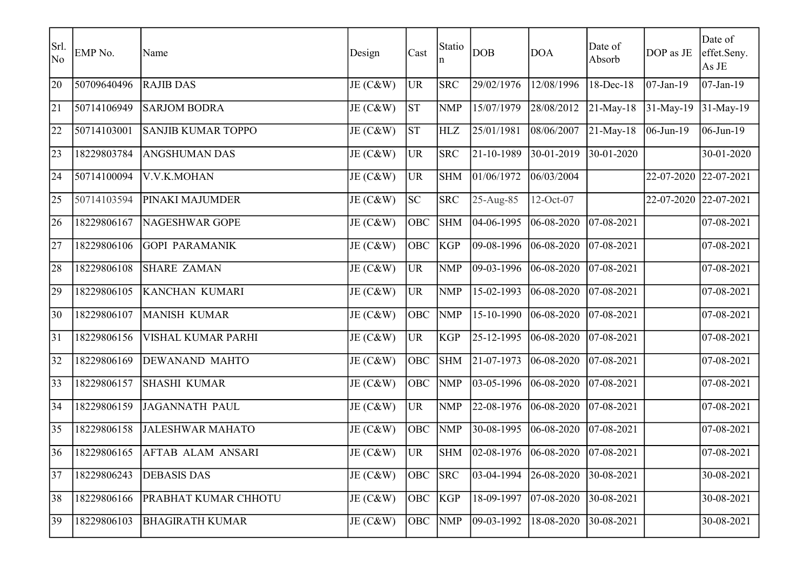| Srl.<br>No   | EMP No.     | Name                      | Design   | Cast       | Statio<br>n | DOB                 | <b>DOA</b> | Date of<br>Absorb | DOP as JE    | Date of<br>effet.Seny.<br>As JE |
|--------------|-------------|---------------------------|----------|------------|-------------|---------------------|------------|-------------------|--------------|---------------------------------|
| 20           | 50709640496 | <b>RAJIB DAS</b>          | JE (C&W) | <b>UR</b>  | <b>SRC</b>  | 29/02/1976          | 12/08/1996 | 18-Dec-18         | $07$ -Jan-19 | $07$ -Jan-19                    |
| 21           | 50714106949 | <b>SARJOM BODRA</b>       | JE (C&W) | <b>ST</b>  | <b>NMP</b>  | 15/07/1979          | 28/08/2012 | $21$ -May-18      | 31-May-19    | 31-May-19                       |
| 22           | 50714103001 | <b>SANJIB KUMAR TOPPO</b> | JE (C&W) | <b>ST</b>  | <b>HLZ</b>  | 25/01/1981          | 08/06/2007 | $21$ -May-18      | $06$ -Jun-19 | 06-Jun-19                       |
| 23           | 18229803784 | <b>ANGSHUMAN DAS</b>      | JE (C&W) | <b>UR</b>  | <b>SRC</b>  | 21-10-1989          | 30-01-2019 | $30-01-2020$      |              | 30-01-2020                      |
| 24           | 50714100094 | V.V.K.MOHAN               | JE (C&W) | <b>UR</b>  | <b>SHM</b>  | 01/06/1972          | 06/03/2004 |                   | 22-07-2020   | 22-07-2021                      |
| 25           | 50714103594 | <b>PINAKI MAJUMDER</b>    | JE (C&W) | <b>SC</b>  | <b>SRC</b>  | 25-Aug-85           | 12-Oct-07  |                   | 22-07-2020   | 22-07-2021                      |
| 26           | 18229806167 | NAGESHWAR GOPE            | JE (C&W) | OBC        | <b>SHM</b>  | 04-06-1995          | 06-08-2020 | $ 07-08-2021$     |              | 07-08-2021                      |
| 27           | 18229806106 | <b>GOPI PARAMANIK</b>     | JE (C&W) | <b>OBC</b> | <b>KGP</b>  | 09-08-1996          | 06-08-2020 | $07 - 08 - 2021$  |              | 07-08-2021                      |
| 28           | 18229806108 | <b>SHARE ZAMAN</b>        | JE (C&W) | UR         | <b>NMP</b>  | 09-03-1996          | 06-08-2020 | $07 - 08 - 2021$  |              | 07-08-2021                      |
| 29           | 18229806105 | KANCHAN KUMARI            | JE (C&W) | UR         | <b>NMP</b>  | 15-02-1993          | 06-08-2020 | $07 - 08 - 2021$  |              | 07-08-2021                      |
| 30           | 18229806107 | MANISH KUMAR              | JE (C&W) | OBC        | <b>NMP</b>  | 15-10-1990          | 06-08-2020 | $07 - 08 - 2021$  |              | 07-08-2021                      |
| 31           | 18229806156 | VISHAL KUMAR PARHI        | JE (C&W) | UR         | <b>KGP</b>  | 25-12-1995          | 06-08-2020 | $07 - 08 - 2021$  |              | 07-08-2021                      |
| 32           | 18229806169 | <b>DEWANAND MAHTO</b>     | JE (C&W) | OBC        | <b>SHM</b>  | 21-07-1973          | 06-08-2020 | 07-08-2021        |              | 07-08-2021                      |
| $ 33\rangle$ | 18229806157 | <b>SHASHI KUMAR</b>       | JE (C&W) | OBC        | <b>NMP</b>  | $\sqrt{03-05-1996}$ | 06-08-2020 | $07 - 08 - 2021$  |              | 07-08-2021                      |
| 34           | 18229806159 | JAGANNATH PAUL            | JE (C&W) | UR         | <b>NMP</b>  | 22-08-1976          | 06-08-2020 | $07 - 08 - 2021$  |              | $\overline{07-08-2021}$         |
| 35           | 18229806158 | <b>JALESHWAR MAHATO</b>   | JE (C&W) | OBC        | <b>NMP</b>  | 30-08-1995          | 06-08-2020 | $07 - 08 - 2021$  |              | 07-08-2021                      |
| 36           | 18229806165 | <b>AFTAB ALAM ANSARI</b>  | JE (C&W) | UR         | <b>SHM</b>  | 02-08-1976          | 06-08-2020 | $ 07-08-2021$     |              | 07-08-2021                      |
| 37           | 18229806243 | <b>DEBASIS DAS</b>        | JE (C&W) | <b>OBC</b> | <b>SRC</b>  | 03-04-1994          | 26-08-2020 | 30-08-2021        |              | 30-08-2021                      |
| 38           | 18229806166 | PRABHAT KUMAR CHHOTU      | JE (C&W) | <b>OBC</b> | KGP         | 18-09-1997          | 07-08-2020 | 30-08-2021        |              | 30-08-2021                      |
| 39           | 18229806103 | <b>BHAGIRATH KUMAR</b>    | JE (C&W) | OBC NMP    |             | 09-03-1992          | 18-08-2020 | 30-08-2021        |              | 30-08-2021                      |